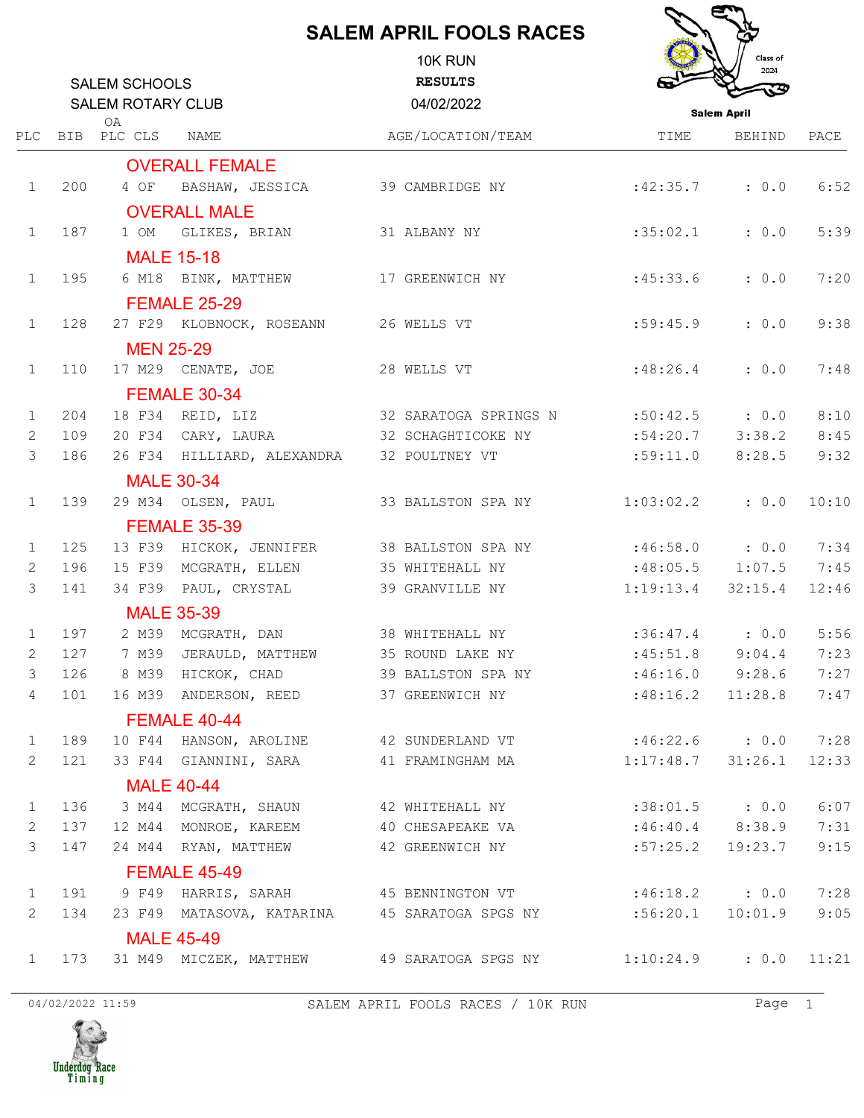## **SALEM APRIL FOOLS RACES**

**Contract of the Contract of the Contract of the Contract of the Contract of the Contract of The Contract of the Contract of The Contract of The Contract of The Contract of The Contract of The Contract of The Contract of T** 

Ę

|              |     | <b>SALEM SCHOOLS</b><br><b>SALEM ROTARY CLUB</b><br>0A |                                           | 10K RUN<br><b>RESULTS</b><br>04/02/2022                                                    | Class of<br>2024<br>ঊ<br><b>Salem April</b> |         |       |
|--------------|-----|--------------------------------------------------------|-------------------------------------------|--------------------------------------------------------------------------------------------|---------------------------------------------|---------|-------|
|              |     | PLC BIB PLC CLS                                        | NAME                                      | AGE/LOCATION/TEAM                                                                          | TIME                                        | BEHIND  | PACE  |
|              |     |                                                        | <b>OVERALL FEMALE</b>                     |                                                                                            |                                             |         |       |
| $\mathbf{1}$ | 200 | 4 OF                                                   | BASHAW, JESSICA                           | 39 CAMBRIDGE NY                                                                            | :42:35.7                                    | : 0.0   | 6:52  |
|              |     |                                                        | <b>OVERALL MALE</b>                       |                                                                                            |                                             |         |       |
| $\mathbf{1}$ | 187 | 1 OM                                                   | GLIKES, BRIAN                             | 31 ALBANY NY                                                                               | :35:02.1                                    | : 0.0   | 5:39  |
|              |     |                                                        | <b>MALE 15-18</b>                         |                                                                                            |                                             |         |       |
| $\mathbf{1}$ | 195 |                                                        | 6 M18 BINK, MATTHEW                       | 17 GREENWICH NY                                                                            | :45:33.6                                    | : 0.0   | 7:20  |
|              |     |                                                        | <b>FEMALE 25-29</b>                       |                                                                                            |                                             |         |       |
| $\mathbf{1}$ | 128 |                                                        | 27 F29 KLOBNOCK, ROSEANN 26 WELLS VT      |                                                                                            | :59:45.9                                    | : 0.0   | 9:38  |
|              |     | <b>MEN 25-29</b>                                       |                                           |                                                                                            |                                             |         |       |
| $\mathbf{1}$ | 110 |                                                        | 17 M29 CENATE, JOE                        | 28 WELLS VT                                                                                | :48:26.4                                    | : 0.0   | 7:48  |
|              |     |                                                        | <b>FEMALE 30-34</b>                       |                                                                                            |                                             |         |       |
| $\mathbf{1}$ | 204 |                                                        | 18 F34 REID, LIZ                          | 32 SARATOGA SPRINGS N                                                                      | $:50:42.5$ : 0.0                            |         | 8:10  |
| $\mathbf{2}$ | 109 |                                                        | 20 F34 CARY, LAURA                        | 32 SCHAGHTICOKE NY                                                                         | $:54:20.7$ 3:38.2                           |         | 8:45  |
| 3            | 186 |                                                        | 26 F34 HILLIARD, ALEXANDRA 32 POULTNEY VT |                                                                                            | :59:11.0                                    | 8:28.5  | 9:32  |
|              |     |                                                        | <b>MALE 30-34</b>                         |                                                                                            |                                             |         |       |
| $\mathbf{1}$ | 139 |                                                        | 29 M34 OLSEN, PAUL                        | 33 BALLSTON SPA NY                                                                         | 1:03:02.2                                   | : 0.0   | 10:10 |
|              |     |                                                        | <b>FEMALE 35-39</b>                       |                                                                                            |                                             |         |       |
| 1            | 125 |                                                        | 13 F39 HICKOK, JENNIFER                   | 38 BALLSTON SPA NY                                                                         | $:46:58.0$ : 0.0                            |         | 7:34  |
| 2            | 196 | 15 F39                                                 | MCGRATH, ELLEN                            | 35 WHITEHALL NY                                                                            | $:48:05.5$ 1:07.5                           |         | 7:45  |
| 3            | 141 |                                                        | 34 F39 PAUL, CRYSTAL                      | 39 GRANVILLE NY                                                                            | 1:19:13.4                                   | 32:15.4 | 12:46 |
|              |     |                                                        | <b>MALE 35-39</b>                         |                                                                                            |                                             |         |       |
| 1            | 197 |                                                        | 2 M39 MCGRATH, DAN                        | 38 WHITEHALL NY                                                                            | $:36:47.4$ : 0.0                            |         | 5:56  |
| $\mathbf{2}$ | 127 | 7 M39                                                  | JERAULD, MATTHEW                          | 35 ROUND LAKE NY                                                                           | $:45:51.8$ 9:04.4                           |         | 7:23  |
| 3            | 126 |                                                        | 8 M39 HICKOK, CHAD                        | 39 BALLSTON SPA NY                                                                         | :46:16.0                                    | 9:28.6  | 7:27  |
| 4            | 101 |                                                        |                                           | 16 M39 ANDERSON, REED 37 GREENWICH NY                                                      | :48:16.2                                    | 11:28.8 | 7:47  |
|              |     |                                                        | FEMALE 40-44                              |                                                                                            |                                             |         |       |
| $\mathbf{1}$ | 189 |                                                        |                                           | 10 F44 HANSON, AROLINE 42 SUNDERLAND VT :46:22.6 : 0.0                                     |                                             |         | 7:28  |
| 2            | 121 |                                                        |                                           | 33 F44 GIANNINI, SARA 641 FRAMINGHAM MA                                                    | 1:17:48.7                                   | 31:26.1 | 12:33 |
|              |     |                                                        | <b>MALE 40-44</b>                         |                                                                                            |                                             |         |       |
| $\mathbf{1}$ | 136 |                                                        |                                           | 3 M44 MCGRATH, SHAUN 42 WHITEHALL NY                                                       | $:38:01.5$ : 0.0                            |         | 6:07  |
| 2            | 137 |                                                        |                                           | 12 M44 MONROE, KAREEM 40 CHESAPEAKE VA :46:40.4 8:38.9                                     |                                             |         | 7:31  |
| 3            | 147 |                                                        |                                           | 24 M44 RYAN, MATTHEW 42 GREENWICH NY                                                       | :57:25.2                                    | 19:23.7 | 9:15  |
|              |     |                                                        | <b>FEMALE 45-49</b>                       |                                                                                            |                                             |         |       |
| $\mathbf{1}$ | 191 |                                                        |                                           | 9 F49 HARRIS, SARAH               45 BENNINGTON VT                     :46:18.2       :0.0 |                                             |         | 7:28  |
| 2            | 134 |                                                        |                                           | 23 F49 MATASOVA, KATARINA 45 SARATOGA SPGS NY :56:20.1                                     |                                             | 10:01.9 | 9:05  |
|              |     |                                                        | <b>MALE 45-49</b>                         |                                                                                            |                                             |         |       |
| $\mathbf{1}$ | 173 |                                                        |                                           | 31 M49 MICZEK, MATTHEW 49 SARATOGA SPGS NY 1:10:24.9                                       |                                             | : 0.0   | 11:21 |
|              |     |                                                        |                                           |                                                                                            |                                             |         |       |

04/02/2022 11:59 SALEM APRIL FOOLS RACES / 10K RUN Page 1